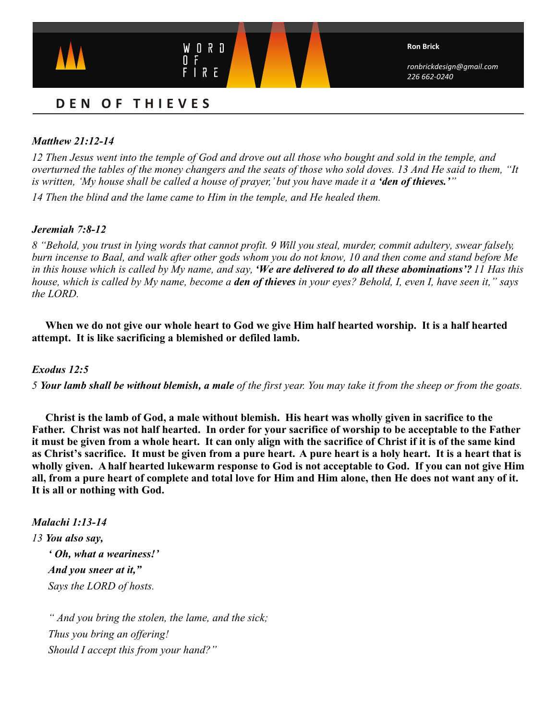

# **DEN O F THIEVES**

# *Matthew 21:12-14*

*12 Then Jesus went into the temple of God and drove out all those who bought and sold in the temple, and overturned the tables of the money changers and the seats of those who sold doves. 13 And He said to them, "It is written, 'My house shall be called a house of prayer,' but you have made it a 'den of thieves.'*<sup>"</sup>

*14 Then the blind and the lame came to Him in the temple, and He healed them.*

## *Jeremiah 7:8-12*

*8 "Behold, you trust in lying words that cannot profit. 9 Will you steal, murder, commit adultery, swear falsely, burn incense to Baal, and walk after other gods whom you do not know, 10 and then come and stand before Me in this house which is called by My name, and say, 'We are delivered to do all these abominations'? 11 Has this house, which is called by My name, become a den of thieves in your eyes? Behold, I, even I, have seen it," says the LORD.* 

**When we do not give our whole heart to God we give Him half hearted worship. It is a half hearted attempt. It is like sacrificing a blemished or defiled lamb.**

## *Exodus 12:5*

*5 Your lamb shall be without blemish, a male of the first year. You may take it from the sheep or from the goats.*

**Christ is the lamb of God, a male without blemish. His heart was wholly given in sacrifice to the Father. Christ was not half hearted. In order for your sacrifice of worship to be acceptable to the Father it must be given from a whole heart. It can only align with the sacrifice of Christ if it is of the same kind as Christ's sacrifice. It must be given from a pure heart. A pure heart is a holy heart. It is a heart that is wholly given. A half hearted lukewarm response to God is not acceptable to God. If you can not give Him all, from a pure heart of complete and total love for Him and Him alone, then He does not want any of it. It is all or nothing with God.** 

*Malachi 1:13-14 13 You also say,*

> *' Oh, what a weariness!' And you sneer at it," Says the LORD of hosts.*

 *" And you bring the stolen, the lame, and the sick; Thus you bring an offering! Should I accept this from your hand?"*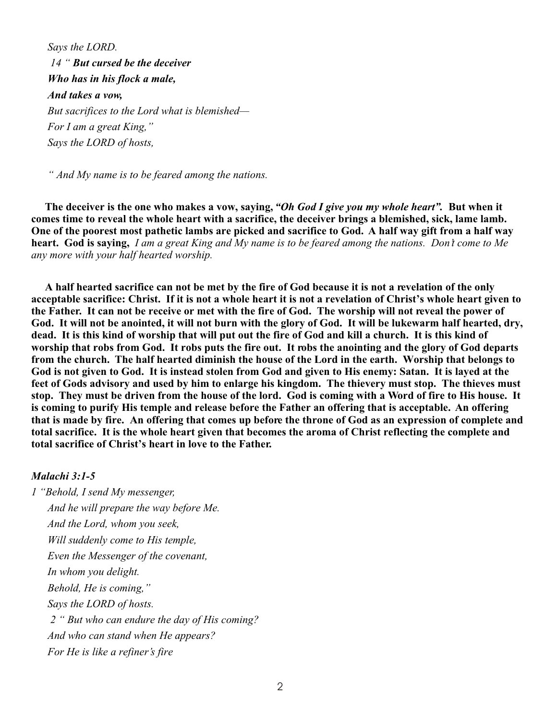*Says the LORD. 14 " But cursed be the deceiver Who has in his flock a male, And takes a vow, But sacrifices to the Lord what is blemished— For I am a great King," Says the LORD of hosts,*

 *" And My name is to be feared among the nations.*

**The deceiver is the one who makes a vow, saying,** *"Oh God I give you my whole heart".* **But when it comes time to reveal the whole heart with a sacrifice, the deceiver brings a blemished, sick, lame lamb. One of the poorest most pathetic lambs are picked and sacrifice to God. A half way gift from a half way heart. God is saying,** *I am a great King and My name is to be feared among the nations. Don't come to Me any more with your half hearted worship.*

**A half hearted sacrifice can not be met by the fire of God because it is not a revelation of the only acceptable sacrifice: Christ. If it is not a whole heart it is not a revelation of Christ's whole heart given to the Father. It can not be receive or met with the fire of God. The worship will not reveal the power of God. It will not be anointed, it will not burn with the glory of God. It will be lukewarm half hearted, dry, dead. It is this kind of worship that will put out the fire of God and kill a church. It is this kind of worship that robs from God. It robs puts the fire out. It robs the anointing and the glory of God departs from the church.****The half hearted diminish the house of the Lord in the earth. Worship that belongs to God is not given to God. It is instead stolen from God and given to His enemy: Satan. It is layed at the feet of Gods advisory and used by him to enlarge his kingdom. The thievery must stop. The thieves must stop. They must be driven from the house of the lord. God is coming with a Word of fire to His house. It is coming to purify His temple and release before the Father an offering that is acceptable. An offering that is made by fire. An offering that comes up before the throne of God as an expression of complete and total sacrifice. It is the whole heart given that becomes the aroma of Christ reflecting the complete and total sacrifice of Christ's heart in love to the Father.**

#### *Malachi 3:1-5*

*1 "Behold, I send My messenger, And he will prepare the way before Me. And the Lord, whom you seek, Will suddenly come to His temple, Even the Messenger of the covenant, In whom you delight. Behold, He is coming," Says the LORD of hosts. 2 " But who can endure the day of His coming? And who can stand when He appears? For He is like a refiner's fire*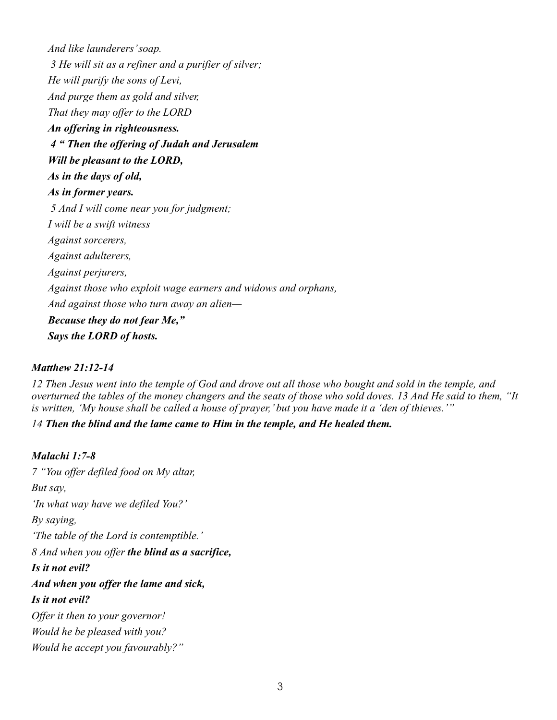*And like launderers' soap. 3 He will sit as a refiner and a purifier of silver; He will purify the sons of Levi, And purge them as gold and silver, That they may offer to the LORD An offering in righteousness. 4 " Then the offering of Judah and Jerusalem Will be pleasant to the LORD, As in the days of old, As in former years. 5 And I will come near you for judgment; I will be a swift witness Against sorcerers, Against adulterers, Against perjurers, Against those who exploit wage earners and widows and orphans, And against those who turn away an alien— Because they do not fear Me," Says the LORD of hosts.*

## *Matthew 21:12-14*

*12 Then Jesus went into the temple of God and drove out all those who bought and sold in the temple, and overturned the tables of the money changers and the seats of those who sold doves. 13 And He said to them, "It is written, 'My house shall be called a house of prayer,' but you have made it a 'den of thieves.'"*

*14 Then the blind and the lame came to Him in the temple, and He healed them.*

## *Malachi 1:7-8*

*7 "You offer defiled food on My altar, But say, 'In what way have we defiled You?' By saying, 'The table of the Lord is contemptible.' 8 And when you offer the blind as a sacrifice, Is it not evil? And when you offer the lame and sick, Is it not evil? Offer it then to your governor! Would he be pleased with you? Would he accept you favourably?"*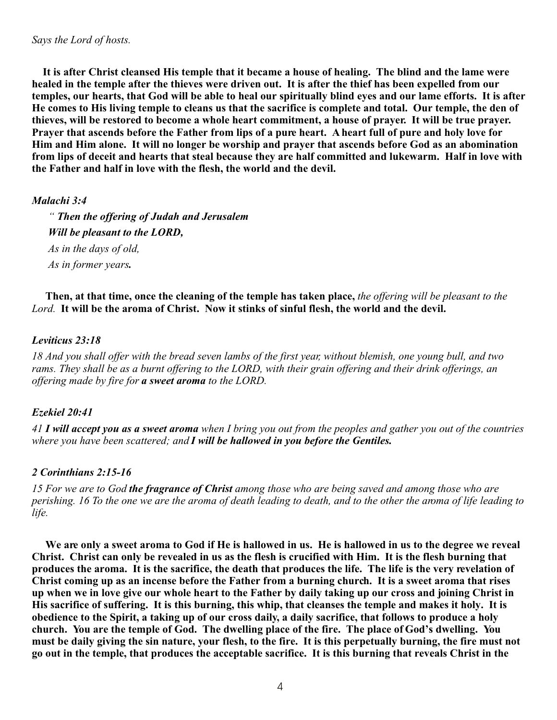**It is after Christ cleansed His temple that it became a house of healing. The blind and the lame were healed in the temple after the thieves were driven out. It is after the thief has been expelled from our temples, our hearts, that God will be able to heal our spiritually blind eyes and our lame efforts. It is after He comes to His living temple to cleans us that the sacrifice is complete and total. Our temple, the den of thieves, will be restored to become a whole heart commitment, a house of prayer. It will be true prayer. Prayer that ascends before the Father from lips of a pure heart. A heart full of pure and holy love for Him and Him alone. It will no longer be worship and prayer that ascends before God as an abomination from lips of deceit and hearts that steal because they are half committed and lukewarm. Half in love with the Father and half in love with the flesh, the world and the devil.**

## *Malachi 3:4*

 *" Then the offering of Judah and Jerusalem Will be pleasant to the LORD, As in the days of old, As in former years.*

 **Then, at that time, once the cleaning of the temple has taken place,** *the offering will be pleasant to the Lord.* **It will be the aroma of Christ. Now it stinks of sinful flesh, the world and the devil.** 

## *Leviticus 23:18*

*18 And you shall offer with the bread seven lambs of the first year, without blemish, one young bull, and two rams. They shall be as a burnt offering to the LORD, with their grain offering and their drink offerings, an offering made by fire for a sweet aroma to the LORD.*

# *Ezekiel 20:41*

*41 I will accept you as a sweet aroma when I bring you out from the peoples and gather you out of the countries where you have been scattered; and I will be hallowed in you before the Gentiles.*

# *2 Corinthians 2:15-16*

*15 For we are to God the fragrance of Christ among those who are being saved and among those who are perishing. 16 To the one we are the aroma of death leading to death, and to the other the aroma of life leading to life.*

**We are only a sweet aroma to God if He is hallowed in us. He is hallowed in us to the degree we reveal Christ. Christ can only be revealed in us as the flesh is crucified with Him. It is the flesh burning that produces the aroma. It is the sacrifice, the death that produces the life. The life is the very revelation of Christ coming up as an incense before the Father from a burning church. It is a sweet aroma that rises up when we in love give our whole heart to the Father by daily taking up our cross and joining Christ in His sacrifice of suffering. It is this burning, this whip, that cleanses the temple and makes it holy. It is obedience to the Spirit, a taking up of our cross daily, a daily sacrifice, that follows to produce a holy church. You are the temple of God. The dwelling place of the fire. The place of God's dwelling. You must be daily giving the sin nature, your flesh, to the fire. It is this perpetually burning, the fire must not go out in the temple, that produces the acceptable sacrifice. It is this burning that reveals Christ in the**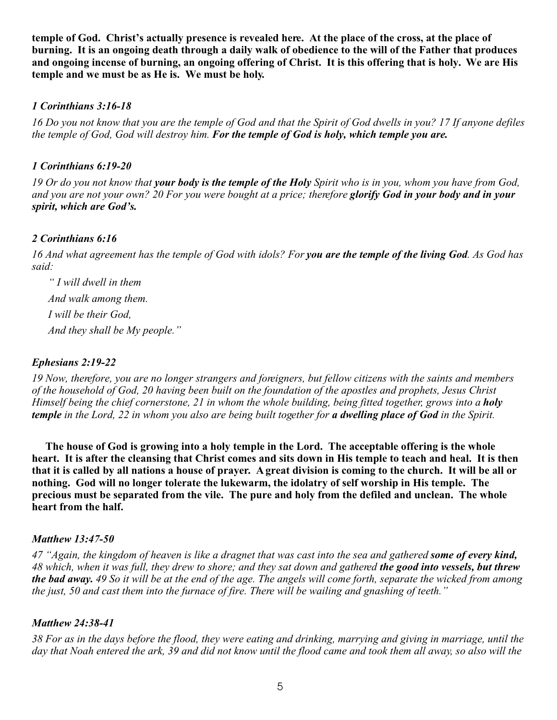**temple of God. Christ's actually presence is revealed here. At the place of the cross, at the place of burning. It is an ongoing death through a daily walk of obedience to the will of the Father that produces and ongoing incense of burning, an ongoing offering of Christ. It is this offering that is holy. We are His temple and we must be as He is. We must be holy.** 

## *1 Corinthians 3:16-18*

*16 Do you not know that you are the temple of God and that the Spirit of God dwells in you? 17 If anyone defiles the temple of God, God will destroy him. For the temple of God is holy, which temple you are.*

## *1 Corinthians 6:19-20*

*19 Or do you not know that your body is the temple of the Holy Spirit who is in you, whom you have from God, and you are not your own? 20 For you were bought at a price; therefore glorify God in your body and in your spirit, which are God's.*

# *2 Corinthians 6:16*

*16 And what agreement has the temple of God with idols? For you are the temple of the living God. As God has said:*

 *" I will dwell in them And walk among them. I will be their God, And they shall be My people."*

## *Ephesians 2:19-22*

*19 Now, therefore, you are no longer strangers and foreigners, but fellow citizens with the saints and members of the household of God, 20 having been built on the foundation of the apostles and prophets, Jesus Christ Himself being the chief cornerstone, 21 in whom the whole building, being fitted together, grows into a holy temple in the Lord, 22 in whom you also are being built together for a dwelling place of God in the Spirit.*

**The house of God is growing into a holy temple in the Lord. The acceptable offering is the whole heart. It is after the cleansing that Christ comes and sits down in His temple to teach and heal. It is then that it is called by all nations a house of prayer. A great division is coming to the church. It will be all or nothing. God will no longer tolerate the lukewarm, the idolatry of self worship in His temple. The precious must be separated from the vile. The pure and holy from the defiled and unclean. The whole heart from the half.**

## *Matthew 13:47-50*

*47 "Again, the kingdom of heaven is like a dragnet that was cast into the sea and gathered some of every kind, 48 which, when it was full, they drew to shore; and they sat down and gathered the good into vessels, but threw the bad away. 49 So it will be at the end of the age. The angels will come forth, separate the wicked from among the just, 50 and cast them into the furnace of fire. There will be wailing and gnashing of teeth."* 

## *Matthew 24:38-41*

*38 For as in the days before the flood, they were eating and drinking, marrying and giving in marriage, until the day that Noah entered the ark, 39 and did not know until the flood came and took them all away, so also will the*